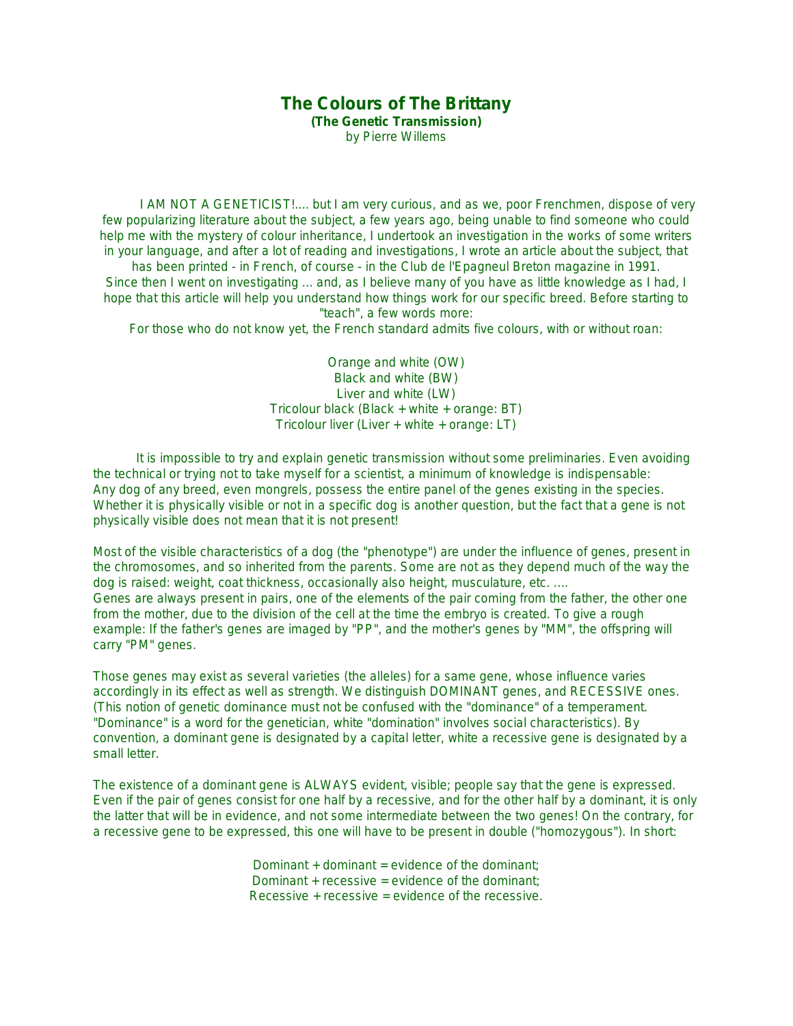# **The Colours of The Brittany**

**(The Genetic Transmission)** by Pierre Willems

 I AM NOT A GENETICIST!.... but I am very curious, and as we, poor Frenchmen, dispose of very few popularizing literature about the subject, a few years ago, being unable to find someone who could help me with the mystery of colour inheritance, I undertook an investigation in the works of some writers in your language, and after a lot of reading and investigations, I wrote an article about the subject, that has been printed - in French, of course - in the Club de l'Epagneul Breton magazine in 1991.

Since then I went on investigating ... and, as I believe many of you have as little knowledge as I had, I hope that this article will help you understand how things work for our specific breed. Before starting to "teach", a few words more:

For those who do not know yet, the French standard admits five colours, with or without roan:

Orange and white (OW) Black and white (BW) Liver and white (LW) Tricolour black (Black + white + orange: BT) Tricolour liver (Liver + white + orange: LT)

 It is impossible to try and explain genetic transmission without some preliminaries. Even avoiding the technical or trying not to take myself for a scientist, a minimum of knowledge is indispensable: Any dog of any breed, even mongrels, possess the entire panel of the genes existing in the species. Whether it is physically visible or not in a specific dog is another question, but the fact that a gene is not physically visible does not mean that it is not present!

Most of the visible characteristics of a dog (the "phenotype") are under the influence of genes, present in the chromosomes, and so inherited from the parents. Some are not as they depend much of the way the dog is raised: weight, coat thickness, occasionally also height, musculature, etc. .... Genes are always present in pairs, one of the elements of the pair coming from the father, the other one from the mother, due to the division of the cell at the time the embryo is created. To give a rough example: If the father's genes are imaged by "PP", and the mother's genes by "MM", the offspring will carry "PM" genes.

Those genes may exist as several varieties (the alleles) for a same gene, whose influence varies accordingly in its effect as well as strength. We distinguish DOMINANT genes, and RECESSIVE ones. (This notion of genetic dominance must not be confused with the "dominance" of a temperament. "Dominance" is a word for the genetician, white "domination" involves social characteristics). By convention, a dominant gene is designated by a capital letter, white a recessive gene is designated by a small letter.

The existence of a dominant gene is ALWAYS evident, visible; people say that the gene is expressed. Even if the pair of genes consist for one half by a recessive, and for the other half by a dominant, it is only the latter that will be in evidence, and not some intermediate between the two genes! On the contrary, for a recessive gene to be expressed, this one will have to be present in double ("homozygous"). In short:

> Dominant  $+$  dominant  $=$  evidence of the dominant: Dominant  $+$  recessive  $=$  evidence of the dominant; Recessive + recessive = evidence of the recessive.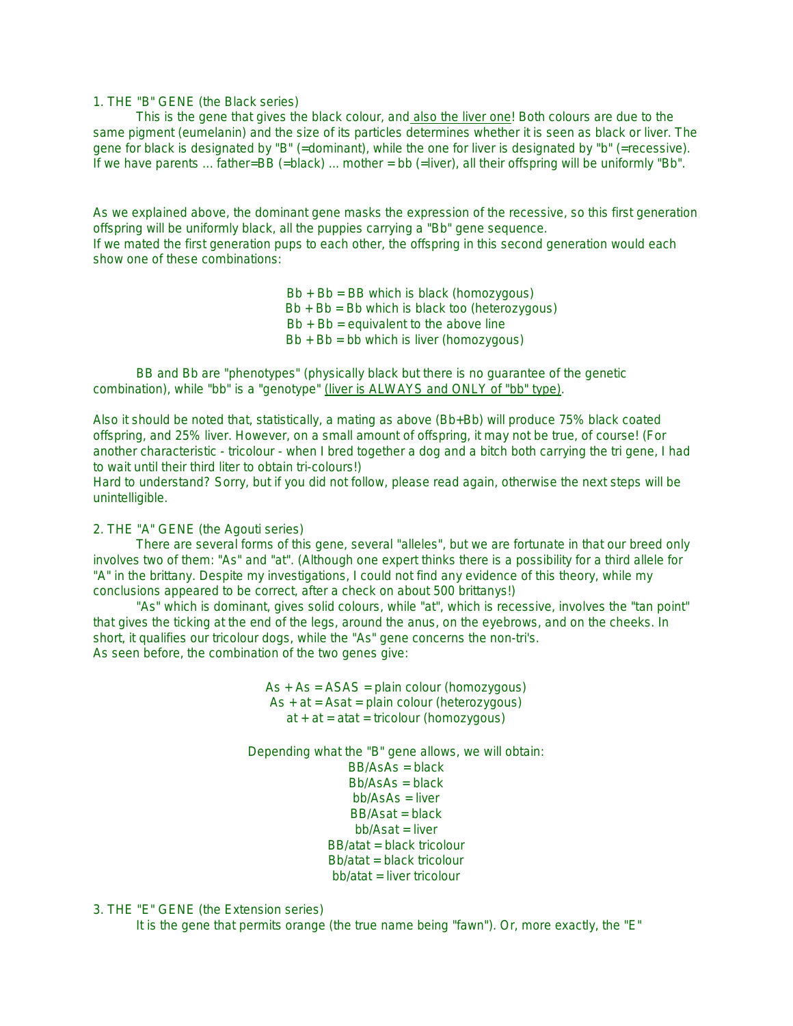#### 1. THE "B" GENE (the Black series)

 This is the gene that gives the black colour, and also the liver one! Both colours are due to the same pigment (eumelanin) and the size of its particles determines whether it is seen as black or liver. The gene for black is designated by "B" (=dominant), while the one for liver is designated by "b" (=recessive). If we have parents ... father=BB (=black) ... mother = bb (=liver), all their offspring will be uniformly "Bb".

As we explained above, the dominant gene masks the expression of the recessive, so this first generation offspring will be uniformly black, all the puppies carrying a "Bb" gene sequence. If we mated the first generation pups to each other, the offspring in this second generation would each show one of these combinations:

> $Bb + Bb = BB$  which is black (homozygous)  $Bb + Bb = Bb$  which is black too (heterozygous)  $Bb + Bb =$  equivalent to the above line  $Bb + Bb = bb$  which is liver (homozygous)

 BB and Bb are "phenotypes" (physically black but there is no guarantee of the genetic combination), while "bb" is a "genotype" (liver is ALWAYS and ONLY of "bb" type).

Also it should be noted that, statistically, a mating as above (Bb+Bb) will produce 75% black coated offspring, and 25% liver. However, on a small amount of offspring, it may not be true, of course! (For another characteristic - tricolour - when I bred together a dog and a bitch both carrying the tri gene, I had to wait until their third liter to obtain tri-colours!)

Hard to understand? Sorry, but if you did not follow, please read again, otherwise the next steps will be unintelligible.

## 2. THE "A" GENE (the Agouti series)

 There are several forms of this gene, several "alleles", but we are fortunate in that our breed only involves two of them: "As" and "at". (Although one expert thinks there is a possibility for a third allele for "A" in the brittany. Despite my investigations, I could not find any evidence of this theory, while my conclusions appeared to be correct, after a check on about 500 brittanys!)

 "As" which is dominant, gives solid colours, while "at", which is recessive, involves the "tan point" that gives the ticking at the end of the legs, around the anus, on the eyebrows, and on the cheeks. In short, it qualifies our tricolour dogs, while the "As" gene concerns the non-tri's. As seen before, the combination of the two genes give:

> $As + As = ASAS = plain colour (homozygous)$  $As + at = Asat = plain colour (heterozygous)$  $at + at = atat = tricolour (homozygous)$

Depending what the "B" gene allows, we will obtain:  $BB/AsAs = black$ 

```
Bb/AsAs = blackbh/AsAs = liverBB/Asat = blackbb/Asat = liverBB/atat = black tricolourBb/atat = black tricolourbb/atat = liver tricolour
```
#### 3. THE "E" GENE (the Extension series)

It is the gene that permits orange (the true name being "fawn"). Or, more exactly, the "E"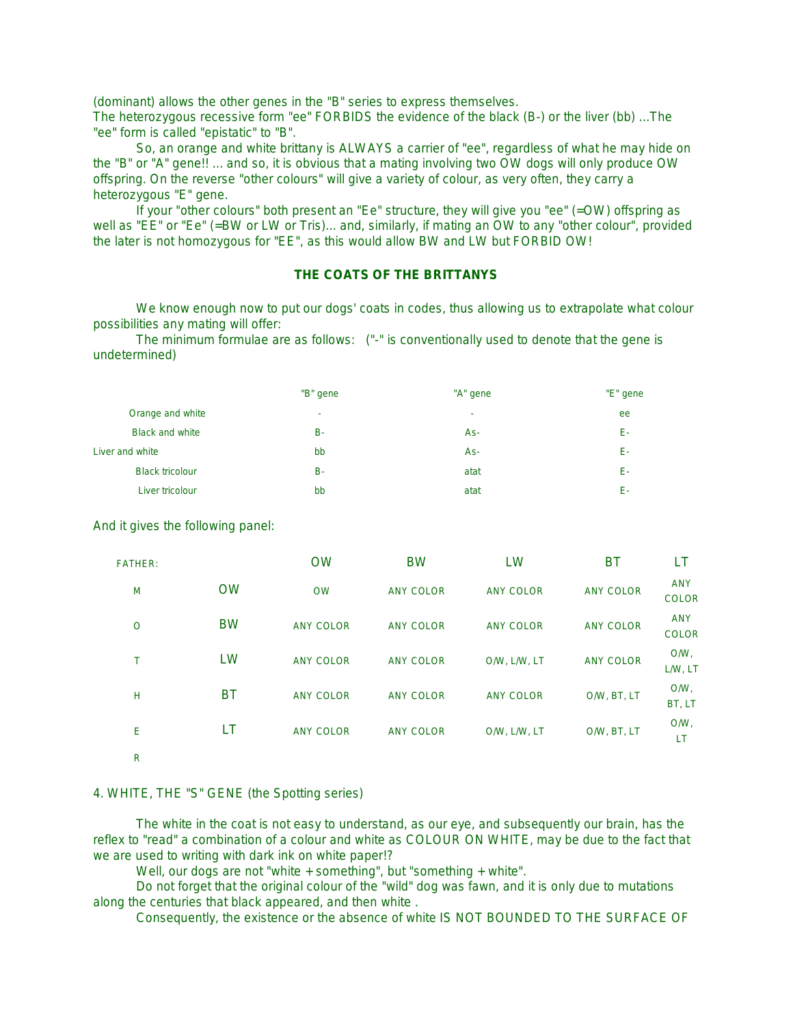(dominant) allows the other genes in the "B" series to express themselves.

The heterozygous recessive form "ee" FORBIDS the evidence of the black (B-) or the liver (bb) ...The "ee" form is called "epistatic" to "B".

 So, an orange and white brittany is ALWAYS a carrier of "ee", regardless of what he may hide on the "B" or "A" gene!! ... and so, it is obvious that a mating involving two OW dogs will only produce OW offspring. On the reverse "other colours" will give a variety of colour, as very often, they carry a heterozygous "E" gene.

 If your "other colours" both present an "Ee" structure, they will give you "ee" (=OW) offspring as well as "EE" or "Ee" (=BW or LW or Tris)... and, similarly, if mating an OW to any "other colour", provided the later is not homozygous for "EE", as this would allow BW and LW but FORBID OW!

# **THE COATS OF THE BRITTANYS**

 We know enough now to put our dogs' coats in codes, thus allowing us to extrapolate what colour possibilities any mating will offer:

 The minimum formulae are as follows: ("-" is conventionally used to denote that the gene is undetermined)

|                        | "B" gene  | "A" gene | "E" gene |
|------------------------|-----------|----------|----------|
| Orange and white       | ۰         | ۰        | ee       |
| <b>Black and white</b> | <b>B-</b> | As-      | Е-       |
| Liver and white        | bb        | As-      | Е-       |
| <b>Black tricolour</b> | <b>B-</b> | atat     | Е-       |
| Liver tricolour        | bb        | atat     | F-       |

And it gives the following panel:

| <b>FATHER:</b> |           | <b>OW</b>        | <b>BW</b>        | LW               | ВT               | LT                         |
|----------------|-----------|------------------|------------------|------------------|------------------|----------------------------|
| M              | <b>OW</b> | <b>OW</b>        | <b>ANY COLOR</b> | <b>ANY COLOR</b> | <b>ANY COLOR</b> | <b>ANY</b><br><b>COLOR</b> |
| $\circ$        | <b>BW</b> | <b>ANY COLOR</b> | <b>ANY COLOR</b> | <b>ANY COLOR</b> | <b>ANY COLOR</b> | <b>ANY</b><br><b>COLOR</b> |
| т              | LW        | <b>ANY COLOR</b> | <b>ANY COLOR</b> | O/W, L/W, LT     | <b>ANY COLOR</b> | O/W.<br>L/W, LT            |
| Н              | ВT        | <b>ANY COLOR</b> | <b>ANY COLOR</b> | <b>ANY COLOR</b> | O/W, BT, LT      | O/W.<br>BT, LT             |
| Ε              | LT        | <b>ANY COLOR</b> | <b>ANY COLOR</b> | O/W, L/W, LT     | O/W, BT, LT      | O/W,<br>LT                 |
| $\mathsf{R}$   |           |                  |                  |                  |                  |                            |

#### 4. WHITE, THE "S" GENE (the Spotting series)

 The white in the coat is not easy to understand, as our eye, and subsequently our brain, has the reflex to "read" a combination of a colour and white as COLOUR ON WHITE, may be due to the fact that we are used to writing with dark ink on white paper!?

Well, our dogs are not "white + something", but "something + white".

 Do not forget that the original colour of the "wild" dog was fawn, and it is only due to mutations along the centuries that black appeared, and then white .

Consequently, the existence or the absence of white IS NOT BOUNDED TO THE SURFACE OF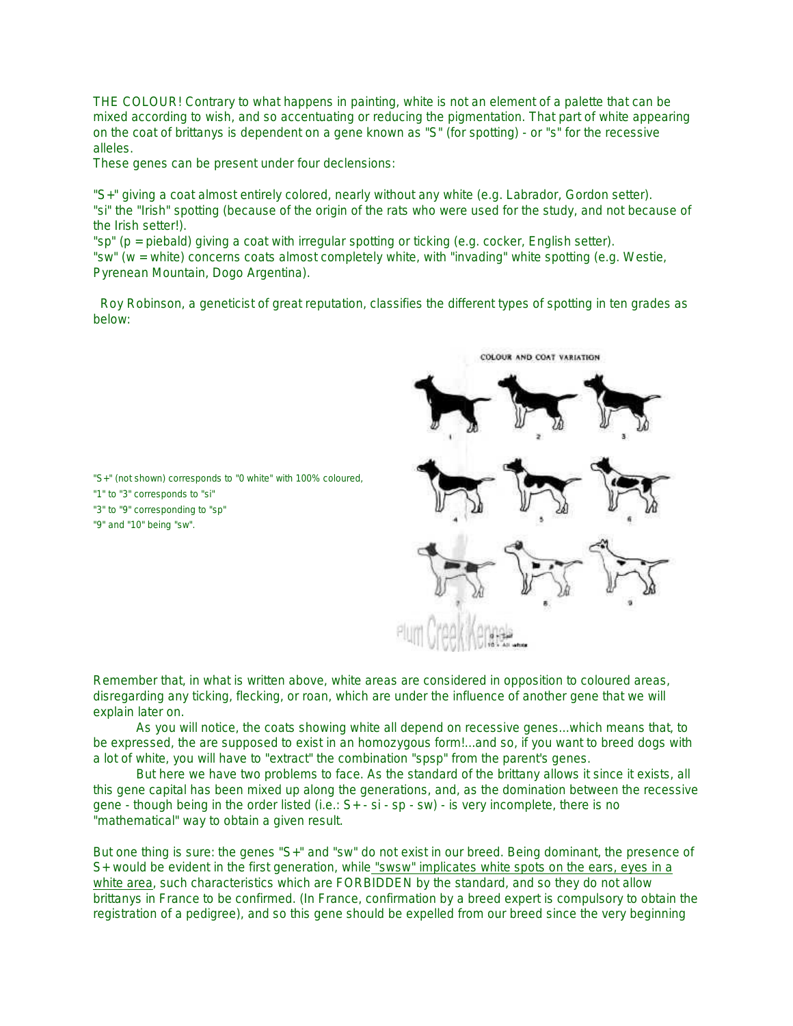THE COLOUR! Contrary to what happens in painting, white is not an element of a palette that can be mixed according to wish, and so accentuating or reducing the pigmentation. That part of white appearing on the coat of brittanys is dependent on a gene known as "S" (for spotting) - or "s" for the recessive alleles.

These genes can be present under four declensions:

"S+" giving a coat almost entirely colored, nearly without any white (e.g. Labrador, Gordon setter). "si" the "Irish" spotting (because of the origin of the rats who were used for the study, and not because of the Irish setter!).

"sp" (p = piebald) giving a coat with irregular spotting or ticking (e.g. cocker, English setter). "sw" (w = white) concerns coats almost completely white, with "invading" white spotting (e.g. Westie, Pyrenean Mountain, Dogo Argentina).

Roy Robinson, a geneticist of great reputation, classifies the different types of spotting in ten grades as below:



"S+" (not shown) corresponds to "0 white" with 100% coloured, "1" to "3" corresponds to "si" "3" to "9" corresponding to "sp" "9" and "10" being "sw".

Remember that, in what is written above, white areas are considered in opposition to coloured areas, disregarding any ticking, flecking, or roan, which are under the influence of another gene that we will explain later on.

 As you will notice, the coats showing white all depend on recessive genes...which means that, to be expressed, the are supposed to exist in an homozygous form!...and so, if you want to breed dogs with a lot of white, you will have to "extract" the combination "spsp" from the parent's genes.

 But here we have two problems to face. As the standard of the brittany allows it since it exists, all this gene capital has been mixed up along the generations, and, as the domination between the recessive gene - though being in the order listed (i.e.: S+ - si - sp - sw) - is very incomplete, there is no "mathematical" way to obtain a given result.

But one thing is sure: the genes "S+" and "sw" do not exist in our breed. Being dominant, the presence of S+ would be evident in the first generation, while "swsw" implicates white spots on the ears, eyes in a white area, such characteristics which are FORBIDDEN by the standard, and so they do not allow brittanys in France to be confirmed. (In France, confirmation by a breed expert is compulsory to obtain the registration of a pedigree), and so this gene should be expelled from our breed since the very beginning